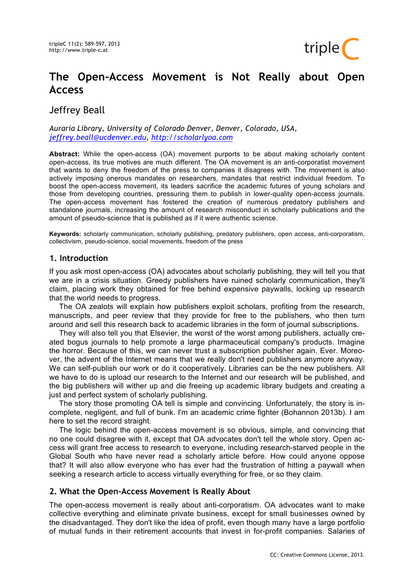

# **The Open-Access Movement is Not Really about Open Access**

Jeffrey Beall

*Auraria Library, University of Colorado Denver, Denver, Colorado, USA, jeffrey.beall@ucdenver.edu, http://scholarlyoa.com*

**Abstract:** While the open-access (OA) movement purports to be about making scholarly content open-access, its true motives are much different. The OA movement is an anti-corporatist movement that wants to deny the freedom of the press to companies it disagrees with. The movement is also actively imposing onerous mandates on researchers, mandates that restrict individual freedom. To boost the open-access movement, its leaders sacrifice the academic futures of young scholars and those from developing countries, pressuring them to publish in lower-quality open-access journals. The open-access movement has fostered the creation of numerous predatory publishers and standalone journals, increasing the amount of research misconduct in scholarly publications and the amount of pseudo-science that is published as if it were authentic science.

**Keywords:** scholarly communication, scholarly publishing, predatory publishers, open access, anti-corporatism, collectivism, pseudo-science, social movements, freedom of the press

## **1. Introduction**

If you ask most open-access (OA) advocates about scholarly publishing, they will tell you that we are in a crisis situation. Greedy publishers have ruined scholarly communication, they'll claim, placing work they obtained for free behind expensive paywalls, locking up research that the world needs to progress.

The OA zealots will explain how publishers exploit scholars, profiting from the research, manuscripts, and peer review that they provide for free to the publishers, who then turn around and sell this research back to academic libraries in the form of journal subscriptions.

They will also tell you that Elsevier, the worst of the worst among publishers, actually created bogus journals to help promote a large pharmaceutical company's products. Imagine the horror. Because of this, we can never trust a subscription publisher again. Ever. Moreover, the advent of the Internet means that we really don't need publishers anymore anyway. We can self-publish our work or do it cooperatively. Libraries can be the new publishers. All we have to do is upload our research to the Internet and our research will be published, and the big publishers will wither up and die freeing up academic library budgets and creating a just and perfect system of scholarly publishing.

The story those promoting OA tell is simple and convincing. Unfortunately, the story is incomplete, negligent, and full of bunk. I'm an academic crime fighter (Bohannon 2013b). I am here to set the record straight.

The logic behind the open-access movement is so obvious, simple, and convincing that no one could disagree with it, except that OA advocates don't tell the whole story. Open access will grant free access to research to everyone, including research-starved people in the Global South who have never read a scholarly article before. How could anyone oppose that? It will also allow everyone who has ever had the frustration of hitting a paywall when seeking a research article to access virtually everything for free, or so they claim.

## **2. What the Open-Access Movement is Really About**

The open-access movement is really about anti-corporatism. OA advocates want to make collective everything and eliminate private business, except for small businesses owned by the disadvantaged. They don't like the idea of profit, even though many have a large portfolio of mutual funds in their retirement accounts that invest in for-profit companies. Salaries of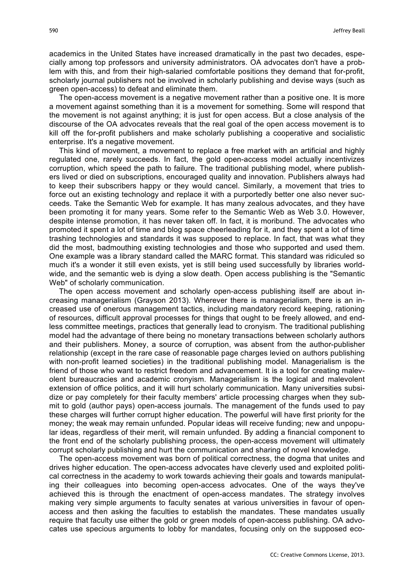academics in the United States have increased dramatically in the past two decades, especially among top professors and university administrators. OA advocates don't have a problem with this, and from their high-salaried comfortable positions they demand that for-profit, scholarly journal publishers not be involved in scholarly publishing and devise ways (such as green open-access) to defeat and eliminate them.

The open-access movement is a negative movement rather than a positive one. It is more a movement against something than it is a movement for something. Some will respond that the movement is not against anything; it is just for open access. But a close analysis of the discourse of the OA advocates reveals that the real goal of the open access movement is to kill off the for-profit publishers and make scholarly publishing a cooperative and socialistic enterprise. It's a negative movement.

This kind of movement, a movement to replace a free market with an artificial and highly regulated one, rarely succeeds. In fact, the gold open-access model actually incentivizes corruption, which speed the path to failure. The traditional publishing model, where publishers lived or died on subscriptions, encouraged quality and innovation. Publishers always had to keep their subscribers happy or they would cancel. Similarly, a movement that tries to force out an existing technology and replace it with a purportedly better one also never succeeds. Take the Semantic Web for example. It has many zealous advocates, and they have been promoting it for many years. Some refer to the Semantic Web as Web 3.0. However, despite intense promotion, it has never taken off. In fact, it is moribund. The advocates who promoted it spent a lot of time and blog space cheerleading for it, and they spent a lot of time trashing technologies and standards it was supposed to replace. In fact, that was what they did the most, badmouthing existing technologies and those who supported and used them. One example was a library standard called the MARC format. This standard was ridiculed so much it's a wonder it still even exists, yet is still being used successfully by libraries worldwide, and the semantic web is dying a slow death. Open access publishing is the "Semantic Web" of scholarly communication.

The open access movement and scholarly open-access publishing itself are about increasing managerialism (Grayson 2013). Wherever there is managerialism, there is an increased use of onerous management tactics, including mandatory record keeping, rationing of resources, difficult approval processes for things that ought to be freely allowed, and endless committee meetings, practices that generally lead to cronyism. The traditional publishing model had the advantage of there being no monetary transactions between scholarly authors and their publishers. Money, a source of corruption, was absent from the author-publisher relationship (except in the rare case of reasonable page charges levied on authors publishing with non-profit learned societies) in the traditional publishing model. Managerialism is the friend of those who want to restrict freedom and advancement. It is a tool for creating malevolent bureaucracies and academic cronyism. Managerialism is the logical and malevolent extension of office politics, and it will hurt scholarly communication. Many universities subsidize or pay completely for their faculty members' article processing charges when they submit to gold (author pays) open-access journals. The management of the funds used to pay these charges will further corrupt higher education. The powerful will have first priority for the money; the weak may remain unfunded. Popular ideas will receive funding; new and unpopular ideas, regardless of their merit, will remain unfunded. By adding a financial component to the front end of the scholarly publishing process, the open-access movement will ultimately corrupt scholarly publishing and hurt the communication and sharing of novel knowledge.

The open-access movement was born of political correctness, the dogma that unites and drives higher education. The open-access advocates have cleverly used and exploited political correctness in the academy to work towards achieving their goals and towards manipulating their colleagues into becoming open-access advocates. One of the ways they've achieved this is through the enactment of open-access mandates. The strategy involves making very simple arguments to faculty senates at various universities in favour of openaccess and then asking the faculties to establish the mandates. These mandates usually require that faculty use either the gold or green models of open-access publishing. OA advocates use specious arguments to lobby for mandates, focusing only on the supposed eco-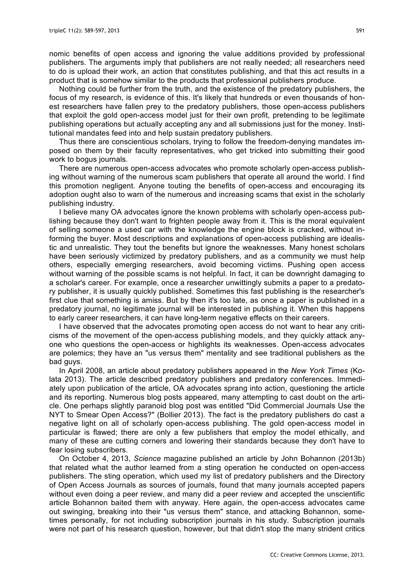nomic benefits of open access and ignoring the value additions provided by professional publishers. The arguments imply that publishers are not really needed; all researchers need to do is upload their work, an action that constitutes publishing, and that this act results in a product that is somehow similar to the products that professional publishers produce.

Nothing could be further from the truth, and the existence of the predatory publishers, the focus of my research, is evidence of this. It's likely that hundreds or even thousands of honest researchers have fallen prey to the predatory publishers, those open-access publishers that exploit the gold open-access model just for their own profit, pretending to be legitimate publishing operations but actually accepting any and all submissions just for the money. Institutional mandates feed into and help sustain predatory publishers.

Thus there are conscientious scholars, trying to follow the freedom-denying mandates imposed on them by their faculty representatives, who get tricked into submitting their good work to bogus journals.

There are numerous open-access advocates who promote scholarly open-access publishing without warning of the numerous scam publishers that operate all around the world. I find this promotion negligent. Anyone touting the benefits of open-access and encouraging its adoption ought also to warn of the numerous and increasing scams that exist in the scholarly publishing industry.

I believe many OA advocates ignore the known problems with scholarly open-access publishing because they don't want to frighten people away from it. This is the moral equivalent of selling someone a used car with the knowledge the engine block is cracked, without informing the buyer. Most descriptions and explanations of open-access publishing are idealistic and unrealistic. They tout the benefits but ignore the weaknesses. Many honest scholars have been seriously victimized by predatory publishers, and as a community we must help others, especially emerging researchers, avoid becoming victims. Pushing open access without warning of the possible scams is not helpful. In fact, it can be downright damaging to a scholar's career. For example, once a researcher unwittingly submits a paper to a predatory publisher, it is usually quickly published. Sometimes this fast publishing is the researcher's first clue that something is amiss. But by then it's too late, as once a paper is published in a predatory journal, no legitimate journal will be interested in publishing it. When this happens to early career researchers, it can have long-term negative effects on their careers.

I have observed that the advocates promoting open access do not want to hear any criticisms of the movement of the open-access publishing models, and they quickly attack anyone who questions the open-access or highlights its weaknesses. Open-access advocates are polemics; they have an "us versus them" mentality and see traditional publishers as the bad guys.

In April 2008, an article about predatory publishers appeared in the *New York Times* (Kolata 2013). The article described predatory publishers and predatory conferences. Immediately upon publication of the article, OA advocates sprang into action, questioning the article and its reporting. Numerous blog posts appeared, many attempting to cast doubt on the article. One perhaps slightly paranoid blog post was entitled "Did Commercial Journals Use the NYT to Smear Open Access?" (Bollier 2013). The fact is the predatory publishers do cast a negative light on all of scholarly open-access publishing. The gold open-access model in particular is flawed; there are only a few publishers that employ the model ethically, and many of these are cutting corners and lowering their standards because they don't have to fear losing subscribers.

On October 4, 2013, *Science* magazine published an article by John Bohannon (2013b) that related what the author learned from a sting operation he conducted on open-access publishers. The sting operation, which used my list of predatory publishers and the Directory of Open Access Journals as sources of journals, found that many journals accepted papers without even doing a peer review, and many did a peer review and accepted the unscientific article Bohannon baited them with anyway. Here again, the open-access advocates came out swinging, breaking into their "us versus them" stance, and attacking Bohannon, sometimes personally, for not including subscription journals in his study. Subscription journals were not part of his research question, however, but that didn't stop the many strident critics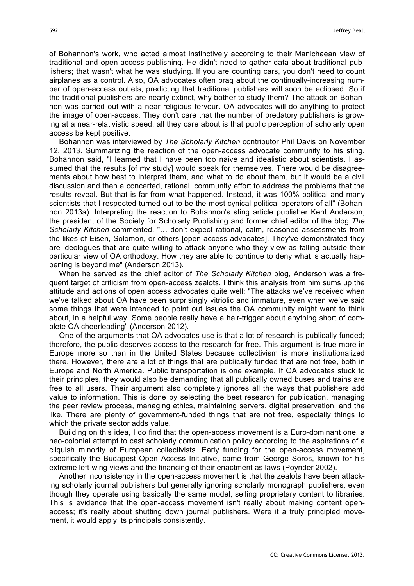of Bohannon's work, who acted almost instinctively according to their Manichaean view of traditional and open-access publishing. He didn't need to gather data about traditional publishers; that wasn't what he was studying. If you are counting cars, you don't need to count airplanes as a control. Also, OA advocates often brag about the continually-increasing number of open-access outlets, predicting that traditional publishers will soon be eclipsed. So if the traditional publishers are nearly extinct, why bother to study them? The attack on Bohannon was carried out with a near religious fervour. OA advocates will do anything to protect the image of open-access. They don't care that the number of predatory publishers is growing at a near-relativistic speed; all they care about is that public perception of scholarly open access be kept positive.

Bohannon was interviewed by *The Scholarly Kitchen* contributor Phil Davis on November 12, 2013. Summarizing the reaction of the open-access advocate community to his sting, Bohannon said, "I learned that I have been too naive and idealistic about scientists. I assumed that the results [of my study] would speak for themselves. There would be disagreements about how best to interpret them, and what to do about them, but it would be a civil discussion and then a concerted, rational, community effort to address the problems that the results reveal. But that is far from what happened. Instead, it was 100% political and many scientists that I respected turned out to be the most cynical political operators of all" (Bohannon 2013a). Interpreting the reaction to Bohannon's sting article publisher Kent Anderson, the president of the Society for Scholarly Publishing and former chief editor of the blog *The Scholarly Kitchen* commented, "… don't expect rational, calm, reasoned assessments from the likes of Eisen, Solomon, or others [open access advocates]. They've demonstrated they are ideologues that are quite willing to attack anyone who they view as falling outside their particular view of OA orthodoxy. How they are able to continue to deny what is actually happening is beyond me" (Anderson 2013).

When he served as the chief editor of *The Scholarly Kitchen* blog, Anderson was a frequent target of criticism from open-access zealots. I think this analysis from him sums up the attitude and actions of open access advocates quite well: "The attacks we've received when we've talked about OA have been surprisingly vitriolic and immature, even when we've said some things that were intended to point out issues the OA community might want to think about, in a helpful way. Some people really have a hair-trigger about anything short of complete OA cheerleading" (Anderson 2012).

One of the arguments that OA advocates use is that a lot of research is publically funded; therefore, the public deserves access to the research for free. This argument is true more in Europe more so than in the United States because collectivism is more institutionalized there. However, there are a lot of things that are publically funded that are not free, both in Europe and North America. Public transportation is one example. If OA advocates stuck to their principles, they would also be demanding that all publically owned buses and trains are free to all users. Their argument also completely ignores all the ways that publishers add value to information. This is done by selecting the best research for publication, managing the peer review process, managing ethics, maintaining servers, digital preservation, and the like. There are plenty of government-funded things that are not free, especially things to which the private sector adds value.

Building on this idea, I do find that the open-access movement is a Euro-dominant one, a neo-colonial attempt to cast scholarly communication policy according to the aspirations of a cliquish minority of European collectivists. Early funding for the open-access movement, specifically the Budapest Open Access Initiative, came from George Soros, known for his extreme left-wing views and the financing of their enactment as laws (Poynder 2002).

Another inconsistency in the open-access movement is that the zealots have been attacking scholarly journal publishers but generally ignoring scholarly monograph publishers, even though they operate using basically the same model, selling proprietary content to libraries. This is evidence that the open-access movement isn't really about making content openaccess; it's really about shutting down journal publishers. Were it a truly principled movement, it would apply its principals consistently.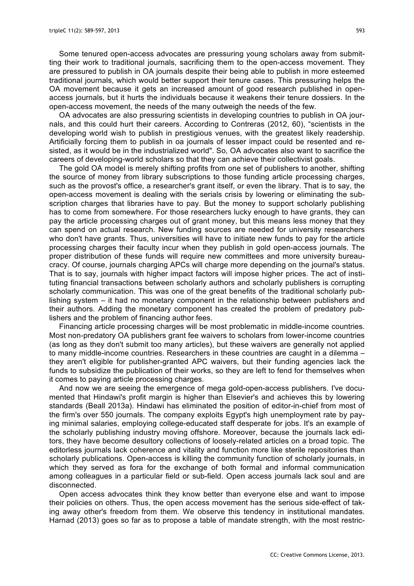Some tenured open-access advocates are pressuring young scholars away from submitting their work to traditional journals, sacrificing them to the open-access movement. They are pressured to publish in OA journals despite their being able to publish in more esteemed traditional journals, which would better support their tenure cases. This pressuring helps the OA movement because it gets an increased amount of good research published in openaccess journals, but it hurts the individuals because it weakens their tenure dossiers. In the open-access movement, the needs of the many outweigh the needs of the few.

OA advocates are also pressuring scientists in developing countries to publish in OA journals, and this could hurt their careers. According to Contreras (2012, 60), "scientists in the developing world wish to publish in prestigious venues, with the greatest likely readership. Artificially forcing them to publish in oa journals of lesser impact could be resented and resisted, as it would be in the industrialized world". So, OA advocates also want to sacrifice the careers of developing-world scholars so that they can achieve their collectivist goals.

The gold OA model is merely shifting profits from one set of publishers to another, shifting the source of money from library subscriptions to those funding article processing charges, such as the provost's office, a researcher's grant itself, or even the library. That is to say, the open-access movement is dealing with the serials crisis by lowering or eliminating the subscription charges that libraries have to pay. But the money to support scholarly publishing has to come from somewhere. For those researchers lucky enough to have grants, they can pay the article processing charges out of grant money, but this means less money that they can spend on actual research. New funding sources are needed for university researchers who don't have grants. Thus, universities will have to initiate new funds to pay for the article processing charges their faculty incur when they publish in gold open-access journals. The proper distribution of these funds will require new committees and more university bureaucracy. Of course, journals charging APCs will charge more depending on the journal's status. That is to say, journals with higher impact factors will impose higher prices. The act of instituting financial transactions between scholarly authors and scholarly publishers is corrupting scholarly communication. This was one of the great benefits of the traditional scholarly publishing system – it had no monetary component in the relationship between publishers and their authors. Adding the monetary component has created the problem of predatory publishers and the problem of financing author fees.

Financing article processing charges will be most problematic in middle-income countries. Most non-predatory OA publishers grant fee waivers to scholars from lower-income countries (as long as they don't submit too many articles), but these waivers are generally not applied to many middle-income countries. Researchers in these countries are caught in a dilemma – they aren't eligible for publisher-granted APC waivers, but their funding agencies lack the funds to subsidize the publication of their works, so they are left to fend for themselves when it comes to paying article processing charges.

And now we are seeing the emergence of mega gold-open-access publishers. I've documented that Hindawi's profit margin is higher than Elsevier's and achieves this by lowering standards (Beall 2013a). Hindawi has eliminated the position of editor-in-chief from most of the firm's over 550 journals. The company exploits Egypt's high unemployment rate by paying minimal salaries, employing college-educated staff desperate for jobs. It's an example of the scholarly publishing industry moving offshore. Moreover, because the journals lack editors, they have become desultory collections of loosely-related articles on a broad topic. The editorless journals lack coherence and vitality and function more like sterile repositories than scholarly publications. Open-access is killing the community function of scholarly journals, in which they served as fora for the exchange of both formal and informal communication among colleagues in a particular field or sub-field. Open access journals lack soul and are disconnected.

Open access advocates think they know better than everyone else and want to impose their policies on others. Thus, the open access movement has the serious side-effect of taking away other's freedom from them. We observe this tendency in institutional mandates. Harnad (2013) goes so far as to propose a table of mandate strength, with the most restric-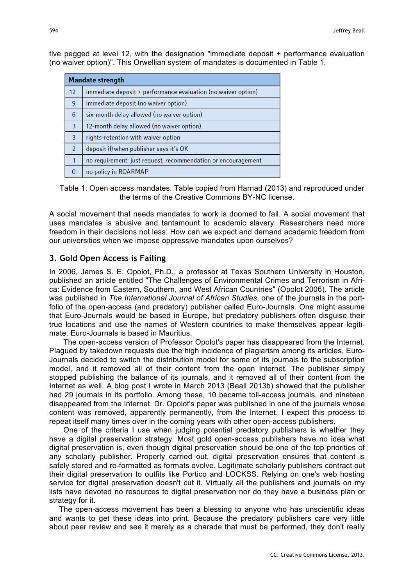| <b>Mandate strength</b> |                                                               |
|-------------------------|---------------------------------------------------------------|
| 12                      | immediate deposit + performance evaluation (no waiver option) |
| 9                       | immediate deposit (no waiver option)                          |
| 6                       | six-month delay allowed (no waiver option)                    |
| $\overline{3}$          | 12-month delay allowed (no waiver option)                     |
| $\overline{3}$          | rights-retention with waiver option                           |
| $\overline{2}$          | deposit if/when publisher says it's OK                        |
| $\mathbf{1}$            | no requirement: just request, recommendation or encouragement |
| U                       | no policy in ROARMAP                                          |

tive pegged at level 12, with the designation "immediate deposit + performance evaluation (no waiver option)". This Orwellian system of mandates is documented in Table 1.

Table 1: Open access mandates. Table copied from Harnad (2013) and reproduced under the terms of the Creative Commons BY-NC license.

A social movement that needs mandates to work is doomed to fail. A social movement that uses mandates is abusive and tantamount to academic slavery. Researchers need more freedom in their decisions not less. How can we expect and demand academic freedom from our universities when we impose oppressive mandates upon ourselves?

## **3. Gold Open Access is Failing**

In 2006, James S. E. Opolot, Ph.D., a professor at Texas Southern University in Houston, published an article entitled "The Challenges of Environmental Crimes and Terrorism in Africa: Evidence from Eastern, Southern, and West African Countries" (Opolot 2006). The article was published in *The International Journal of African Studies*, one of the journals in the portfolio of the open-access (and predatory) publisher called Euro-Journals. One might assume that Euro-Journals would be based in Europe, but predatory publishers often disguise their true locations and use the names of Western countries to make themselves appear legitimate. Euro-Journals is based in Mauritius.

 The open-access version of Professor Opolot's paper has disappeared from the Internet. Plagued by takedown requests due the high incidence of plagiarism among its articles, Euro-Journals decided to switch the distribution model for some of its journals to the subscription model, and it removed all of their content from the open Internet. The publisher simply stopped publishing the balance of its journals, and it removed all of their content from the Internet as well. A blog post I wrote in March 2013 (Beall 2013b) showed that the publisher had 29 journals in its portfolio. Among these, 10 became toll-access journals, and nineteen disappeared from the Internet. Dr. Opolot's paper was published in one of the journals whose content was removed, apparently permanently, from the Internet. I expect this process to repeat itself many times over in the coming years with other open-access publishers.

 One of the criteria I use when judging potential predatory publishers is whether they have a digital preservation strategy. Most gold open-access publishers have no idea what digital preservation is, even though digital preservation should be one of the top priorities of any scholarly publisher. Properly carried out, digital preservation ensures that content is safely stored and re-formatted as formats evolve. Legitimate scholarly publishers contract out their digital preservation to outfits like Portico and LOCKSS. Relying on one's web hosting service for digital preservation doesn't cut it. Virtually all the publishers and journals on my lists have devoted no resources to digital preservation nor do they have a business plan or strategy for it.

The open-access movement has been a blessing to anyone who has unscientific ideas and wants to get these ideas into print. Because the predatory publishers care very little about peer review and see it merely as a charade that must be performed, they don't really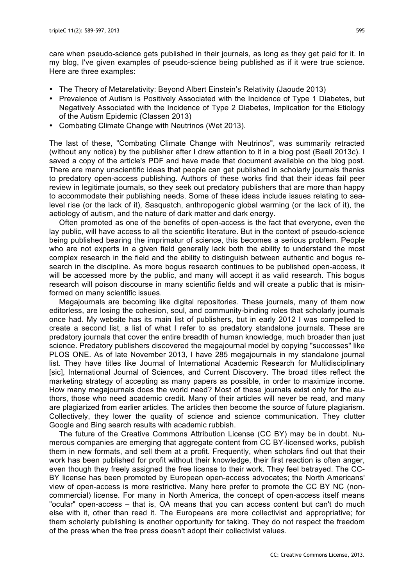care when pseudo-science gets published in their journals, as long as they get paid for it. In my blog, I've given examples of pseudo-science being published as if it were true science. Here are three examples:

- The Theory of Metarelativity: Beyond Albert Einstein's Relativity (Jaoude 2013)
- Prevalence of Autism is Positively Associated with the Incidence of Type 1 Diabetes, but Negatively Associated with the Incidence of Type 2 Diabetes, Implication for the Etiology of the Autism Epidemic (Classen 2013)
- Combating Climate Change with Neutrinos (Wet 2013).

The last of these, "Combating Climate Change with Neutrinos", was summarily retracted (without any notice) by the publisher after I drew attention to it in a blog post (Beall 2013c). I saved a copy of the article's PDF and have made that document available on the blog post. There are many unscientific ideas that people can get published in scholarly journals thanks to predatory open-access publishing. Authors of these works find that their ideas fail peer review in legitimate journals, so they seek out predatory publishers that are more than happy to accommodate their publishing needs. Some of these ideas include issues relating to sealevel rise (or the lack of it), Sasquatch, anthropogenic global warming (or the lack of it), the aetiology of autism, and the nature of dark matter and dark energy.

Often promoted as one of the benefits of open-access is the fact that everyone, even the lay public, will have access to all the scientific literature. But in the context of pseudo-science being published bearing the imprimatur of science, this becomes a serious problem. People who are not experts in a given field generally lack both the ability to understand the most complex research in the field and the ability to distinguish between authentic and bogus research in the discipline. As more bogus research continues to be published open-access, it will be accessed more by the public, and many will accept it as valid research. This bogus research will poison discourse in many scientific fields and will create a public that is misinformed on many scientific issues.

Megajournals are becoming like digital repositories. These journals, many of them now editorless, are losing the cohesion, soul, and community-binding roles that scholarly journals once had. My website has its main list of publishers, but in early 2012 I was compelled to create a second list, a list of what I refer to as predatory standalone journals. These are predatory journals that cover the entire breadth of human knowledge, much broader than just science. Predatory publishers discovered the megajournal model by copying "successes" like PLOS ONE. As of late November 2013, I have 285 megajournals in my standalone journal list. They have titles like Journal of International Academic Research for Multidisciplinary [sic], International Journal of Sciences, and Current Discovery. The broad titles reflect the marketing strategy of accepting as many papers as possible, in order to maximize income. How many megajournals does the world need? Most of these journals exist only for the authors, those who need academic credit. Many of their articles will never be read, and many are plagiarized from earlier articles. The articles then become the source of future plagiarism. Collectively, they lower the quality of science and science communication. They clutter Google and Bing search results with academic rubbish.

The future of the Creative Commons Attribution License (CC BY) may be in doubt. Numerous companies are emerging that aggregate content from CC BY-licensed works, publish them in new formats, and sell them at a profit. Frequently, when scholars find out that their work has been published for profit without their knowledge, their first reaction is often anger, even though they freely assigned the free license to their work. They feel betrayed. The CC-BY license has been promoted by European open-access advocates; the North Americans' view of open-access is more restrictive. Many here prefer to promote the CC BY NC (noncommercial) license. For many in North America, the concept of open-access itself means "ocular" open-access – that is, OA means that you can access content but can't do much else with it, other than read it. The Europeans are more collectivist and appropriative; for them scholarly publishing is another opportunity for taking. They do not respect the freedom of the press when the free press doesn't adopt their collectivist values.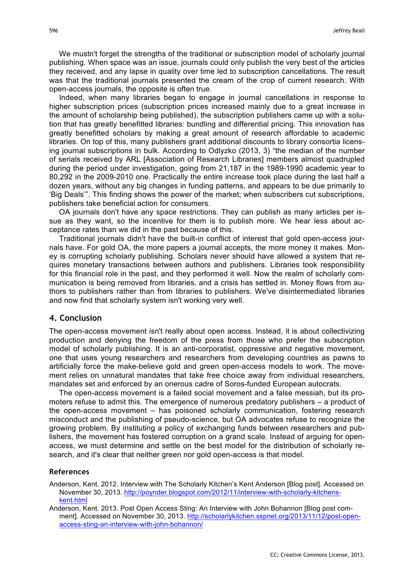We mustn't forget the strengths of the traditional or subscription model of scholarly journal publishing. When space was an issue, journals could only publish the very best of the articles they received, and any lapse in quality over time led to subscription cancellations. The result was that the traditional journals presented the cream of the crop of current research. With open-access journals, the opposite is often true.

Indeed, when many libraries began to engage in journal cancellations in response to higher subscription prices (subscription prices increased mainly due to a great increase in the amount of scholarship being published), the subscription publishers came up with a solution that has greatly benefitted libraries: bundling and differential pricing. This innovation has greatly benefitted scholars by making a great amount of research affordable to academic libraries. On top of this, many publishers grant additional discounts to library consortia licensing journal subscriptions in bulk. According to Odlyzko (2013, 3) "the median of the number of serials received by ARL [Association of Research Libraries] members almost quadrupled during the period under investigation, going from 21,187 in the 1989-1990 academic year to 80,292 in the 2009-2010 one. Practically the entire increase took place during the last half a dozen years, without any big changes in funding patterns, and appears to be due primarily to 'Big Deals'". This finding shows the power of the market; when subscribers cut subscriptions, publishers take beneficial action for consumers.

OA journals don't have any space restrictions. They can publish as many articles per issue as they want, so the incentive for them is to publish more. We hear less about acceptance rates than we did in the past because of this.

Traditional journals didn't have the built-in conflict of interest that gold open-access journals have. For gold OA, the more papers a journal accepts, the more money it makes. Money is corrupting scholarly publishing. Scholars never should have allowed a system that requires monetary transactions between authors and publishers. Libraries took responsibility for this financial role in the past, and they performed it well. Now the realm of scholarly communication is being removed from libraries, and a crisis has settled in. Money flows from authors to publishers rather than from libraries to publishers. We've disintermediated libraries and now find that scholarly system isn't working very well.

### **4. Conclusion**

The open-access movement isn't really about open access. Instead, it is about collectivizing production and denying the freedom of the press from those who prefer the subscription model of scholarly publishing. It is an anti-corporatist, oppressive and negative movement, one that uses young researchers and researchers from developing countries as pawns to artificially force the make-believe gold and green open-access models to work. The movement relies on unnatural mandates that take free choice away from individual researchers, mandates set and enforced by an onerous cadre of Soros-funded European autocrats.

The open-access movement is a failed social movement and a false messiah, but its promoters refuse to admit this. The emergence of numerous predatory publishers – a product of the open-access movement – has poisoned scholarly communication, fostering research misconduct and the publishing of pseudo-science, but OA advocates refuse to recognize the growing problem. By instituting a policy of exchanging funds between researchers and publishers, the movement has fostered corruption on a grand scale. Instead of arguing for openaccess, we must determine and settle on the best model for the distribution of scholarly research, and it's clear that neither green nor gold open-access is that model.

#### **References**

- Anderson, Kent. 2012. Interview with The Scholarly Kitchen's Kent Anderson [Blog post]. Accessed on November 30, 2013. http://poynder.blogspot.com/2012/11/interview-with-scholarly-kitchenskent.html
- Anderson, Kent. 2013. Post Open Access Sting: An Interview with John Bohannon [Blog post comment]. Accessed on November 30, 2013. http://scholarlykitchen.sspnet.org/2013/11/12/post-openaccess-sting-an-interview-with-john-bohannon/